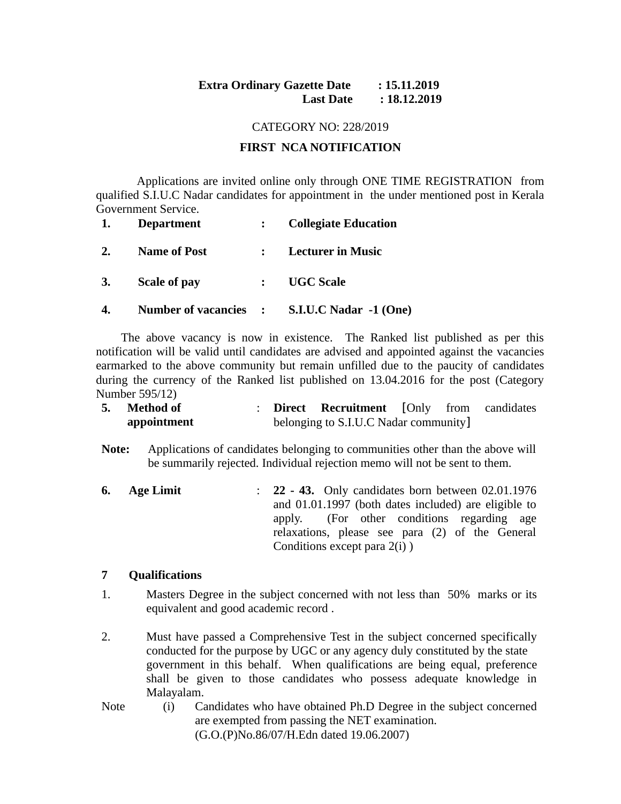# **Extra Ordinary Gazette Date : 15.11.2019 Last Date : 18.12.2019**

#### CATEGORY NO: 228/2019

## **FIRST NCA NOTIFICATION**

 Applications are invited online only through ONE TIME REGISTRATION from qualified S.I.U.C Nadar candidates for appointment in the under mentioned post in Kerala Government Service.

| 1.        | <b>Department</b>   | : Collegiate Education                       |
|-----------|---------------------|----------------------------------------------|
| 2.        | <b>Name of Post</b> | : Lecturer in Music                          |
| <b>3.</b> | <b>Scale of pay</b> | : UGC Scale                                  |
|           |                     | Number of vacancies : S.I.U.C Nadar -1 (One) |

The above vacancy is now in existence. The Ranked list published as per this notification will be valid until candidates are advised and appointed against the vacancies earmarked to the above community but remain unfilled due to the paucity of candidates during the currency of the Ranked list published on 13.04.2016 for the post (Category Number 595/12)

| 5. Method of |  | <b>Direct Recruitment</b> [Only from candidates |  |  |
|--------------|--|-------------------------------------------------|--|--|
| appointment  |  | belonging to S.I.U.C Nadar community]           |  |  |

**Note:** Applications of candidates belonging to communities other than the above will be summarily rejected. Individual rejection memo will not be sent to them.

**6. Age Limit** : **22 - 43.** Only candidates born between 02.01.1976 and 01.01.1997 (both dates included) are eligible to apply. (For other conditions regarding age relaxations, please see para (2) of the General Conditions except para 2(i) )

## **7 Qualifications**

- 1. Masters Degree in the subject concerned with not less than 50% marks or its equivalent and good academic record .
- 2. Must have passed a Comprehensive Test in the subject concerned specifically conducted for the purpose by UGC or any agency duly constituted by the state government in this behalf. When qualifications are being equal, preference shall be given to those candidates who possess adequate knowledge in Malayalam.
- Note (i) Candidates who have obtained Ph.D Degree in the subject concerned are exempted from passing the NET examination. (G.O.(P)No.86/07/H.Edn dated 19.06.2007)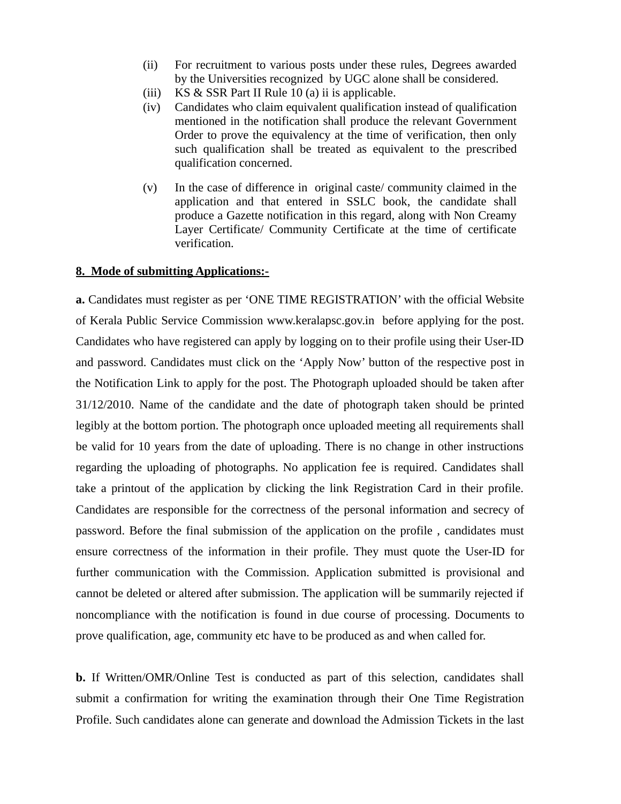- (ii) For recruitment to various posts under these rules, Degrees awarded by the Universities recognized by UGC alone shall be considered.
- (iii) KS & SSR Part II Rule 10 (a) ii is applicable.
- (iv) Candidates who claim equivalent qualification instead of qualification mentioned in the notification shall produce the relevant Government Order to prove the equivalency at the time of verification, then only such qualification shall be treated as equivalent to the prescribed qualification concerned.
- (v) In the case of difference in original caste/ community claimed in the application and that entered in SSLC book, the candidate shall produce a Gazette notification in this regard, along with Non Creamy Layer Certificate/ Community Certificate at the time of certificate verification.

#### **8. Mode of submitting Applications:-**

**a.** Candidates must register as per 'ONE TIME REGISTRATION' with the official Website of Kerala Public Service Commission www.keralapsc.gov.in before applying for the post. Candidates who have registered can apply by logging on to their profile using their User-ID and password. Candidates must click on the 'Apply Now' button of the respective post in the Notification Link to apply for the post. The Photograph uploaded should be taken after 31/12/2010. Name of the candidate and the date of photograph taken should be printed legibly at the bottom portion. The photograph once uploaded meeting all requirements shall be valid for 10 years from the date of uploading. There is no change in other instructions regarding the uploading of photographs. No application fee is required. Candidates shall take a printout of the application by clicking the link Registration Card in their profile. Candidates are responsible for the correctness of the personal information and secrecy of password. Before the final submission of the application on the profile , candidates must ensure correctness of the information in their profile. They must quote the User-ID for further communication with the Commission. Application submitted is provisional and cannot be deleted or altered after submission. The application will be summarily rejected if noncompliance with the notification is found in due course of processing. Documents to prove qualification, age, community etc have to be produced as and when called for.

**b.** If Written/OMR/Online Test is conducted as part of this selection, candidates shall submit a confirmation for writing the examination through their One Time Registration Profile. Such candidates alone can generate and download the Admission Tickets in the last